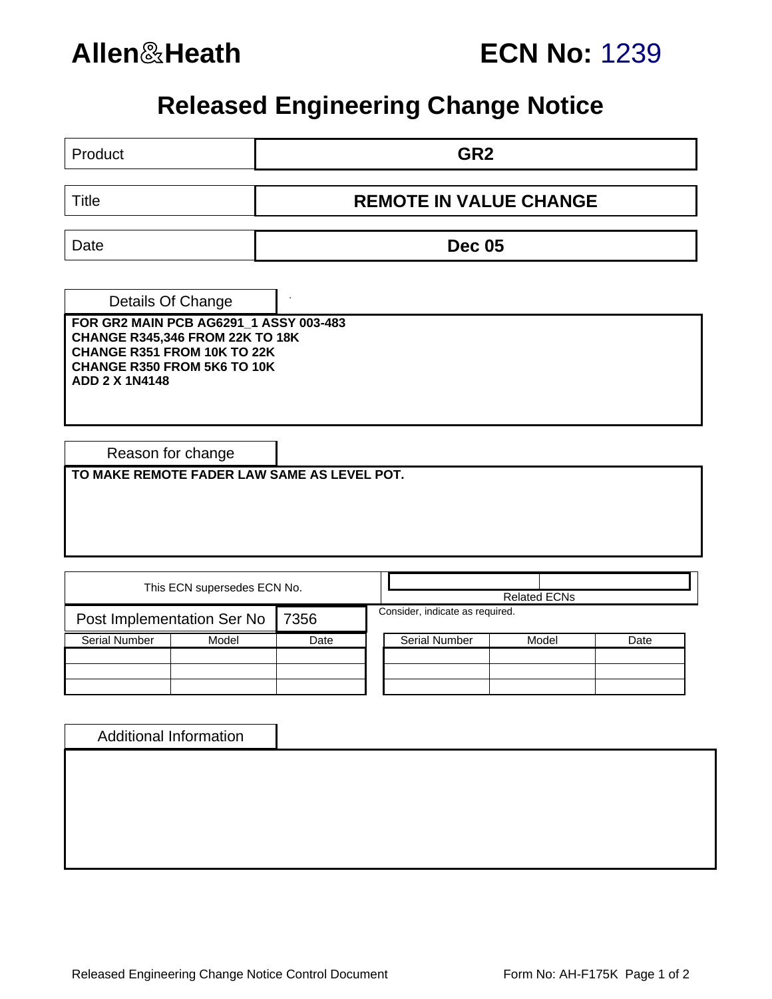

## **Allen**&**Heath ECN No:** 1239

# **Released Engineering Change Notice**

| Product                                                                                                                                                                                      |                             |                               | GR <sub>2</sub>                 |                     |      |  |  |  |  |  |
|----------------------------------------------------------------------------------------------------------------------------------------------------------------------------------------------|-----------------------------|-------------------------------|---------------------------------|---------------------|------|--|--|--|--|--|
| <b>Title</b>                                                                                                                                                                                 |                             | <b>REMOTE IN VALUE CHANGE</b> |                                 |                     |      |  |  |  |  |  |
| Date                                                                                                                                                                                         |                             | <b>Dec 05</b>                 |                                 |                     |      |  |  |  |  |  |
| Details Of Change<br>FOR GR2 MAIN PCB AG6291_1 ASSY 003-483<br><b>CHANGE R345,346 FROM 22K TO 18K</b><br>CHANGE R351 FROM 10K TO 22K<br>CHANGE R350 FROM 5K6 TO 10K<br><b>ADD 2 X 1N4148</b> |                             |                               |                                 |                     |      |  |  |  |  |  |
| Reason for change                                                                                                                                                                            |                             |                               |                                 |                     |      |  |  |  |  |  |
| TO MAKE REMOTE FADER LAW SAME AS LEVEL POT.                                                                                                                                                  |                             |                               |                                 |                     |      |  |  |  |  |  |
|                                                                                                                                                                                              | This ECN supersedes ECN No. |                               |                                 | <b>Related ECNs</b> |      |  |  |  |  |  |
| Post Implementation Ser No                                                                                                                                                                   |                             | 7356                          | Consider, indicate as required. |                     |      |  |  |  |  |  |
| <b>Serial Number</b>                                                                                                                                                                         | Model                       | Date                          | <b>Serial Number</b>            | Model               | Date |  |  |  |  |  |
|                                                                                                                                                                                              |                             |                               |                                 |                     |      |  |  |  |  |  |
| <b>Additional Information</b>                                                                                                                                                                |                             |                               |                                 |                     |      |  |  |  |  |  |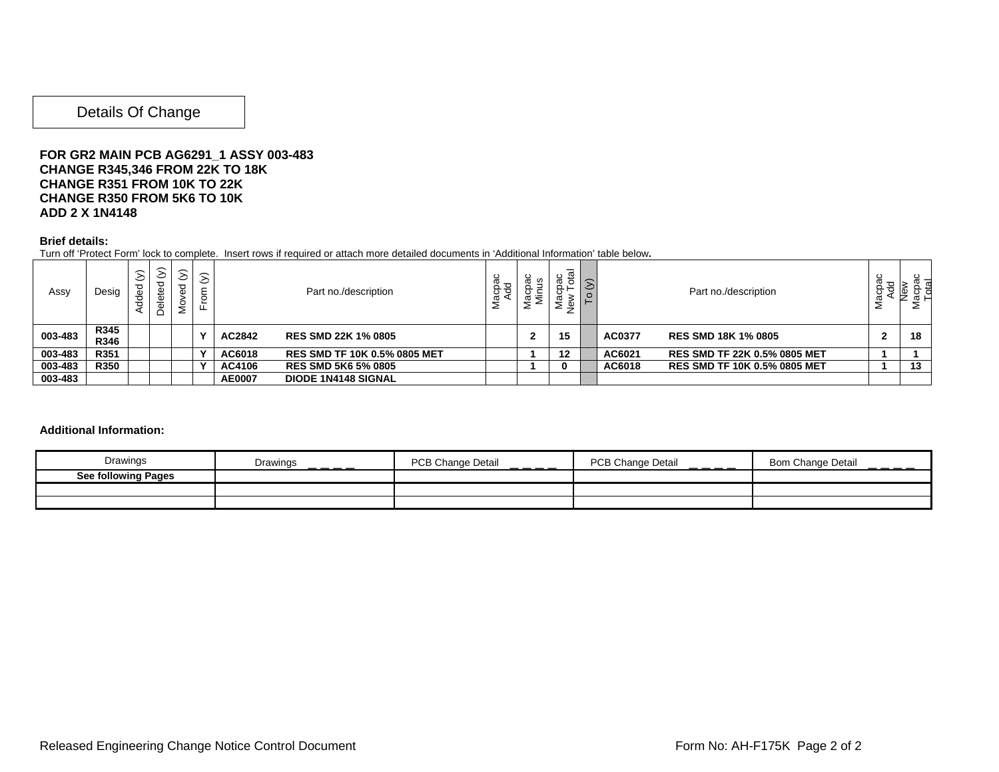### Details Of Change

### **FOR GR2 MAIN PCB AG6291\_1 ASSY 003-483 CHANGE R345,346 FROM 22K TO 18K CHANGE R351 FROM 10K TO 22K CHANGE R350 FROM 5K6 TO 10K ADD 2 X 1N4148**

#### **Brief details:**

Turn off 'Protect Form' lock to complete. Insert rows if required or attach more detailed documents in 'Additional Information' table below**.** 

| Assy    | Desig        | $\odot$<br>යි<br>ග<br>ਝੌ<br>⋖ | $\odot$<br>-<br>$\sqrt{2}$ | $\odot$<br>≚<br>2 | $\widehat{\geq}$<br>$\circ$<br>∽ | Part no./description |                                     | Macpac<br>Add | ă<br>⋍ | ಸ<br>ω<br>÷<br>ڡ<br>_<br>∸ | $\tilde{\mathsf{h}}$ |        | Part no./description                |  |    |
|---------|--------------|-------------------------------|----------------------------|-------------------|----------------------------------|----------------------|-------------------------------------|---------------|--------|----------------------------|----------------------|--------|-------------------------------------|--|----|
| 003-483 | R345<br>R346 |                               |                            |                   |                                  | AC2842               | <b>RES SMD 22K 1% 0805</b>          |               |        | 15                         |                      | AC0377 | <b>RES SMD 18K 1% 0805</b>          |  | 18 |
| 003-483 | R351         |                               |                            |                   |                                  | AC6018               | <b>RES SMD TF 10K 0.5% 0805 MET</b> |               |        | 12                         |                      | AC6021 | <b>RES SMD TF 22K 0.5% 0805 MET</b> |  |    |
| 003-483 | <b>R350</b>  |                               |                            |                   |                                  | AC4106               | <b>RES SMD 5K6 5% 0805</b>          |               |        |                            |                      | AC6018 | <b>RES SMD TF 10K 0.5% 0805 MET</b> |  | 13 |
| 003-483 |              |                               |                            |                   |                                  | <b>AE0007</b>        | <b>DIODE 1N4148 SIGNAL</b>          |               |        |                            |                      |        |                                     |  |    |

#### **Additional Information:**

| Drawings                   | Drawings<br>----- | <b>PCB Change Detail</b><br>$  -$ | PCB Change Detail<br>$  -$ | <b>Bom Change Detail</b> |
|----------------------------|-------------------|-----------------------------------|----------------------------|--------------------------|
| <b>See following Pages</b> |                   |                                   |                            |                          |
|                            |                   |                                   |                            |                          |
|                            |                   |                                   |                            |                          |